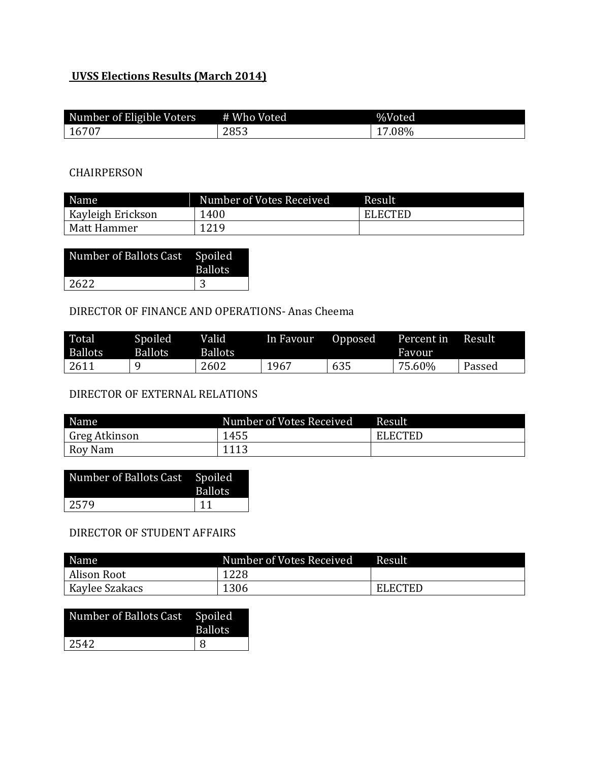## **UVSS Elections Results (March 2014)**

| Number of Eligible Voters | # Who Voted | %Voted   |
|---------------------------|-------------|----------|
| 16707                     | 2853        | $2.08\%$ |

#### CHAIRPERSON

| Name              | Number of Votes Received | Result         |
|-------------------|--------------------------|----------------|
| Kayleigh Erickson | 1400                     | <b>ELECTED</b> |
| Matt Hammer       | 1219                     |                |

| Number of Ballots Cast Spoiled | Ballots. |
|--------------------------------|----------|
| 2622                           | 3        |

### DIRECTOR OF FINANCE AND OPERATIONS- Anas Cheema

| Total<br><b>Ballots</b> | Spoiled<br>Ballots | Valid<br><b>Ballots</b> | In Favour | Opposed | Percent in<br>Favour | Result |
|-------------------------|--------------------|-------------------------|-----------|---------|----------------------|--------|
| 2611                    |                    | 2602                    | 1967      | 635     | 75.60%               | Passed |

# DIRECTOR OF EXTERNAL RELATIONS

| Name          | Number of Votes Received | Result         |
|---------------|--------------------------|----------------|
| Greg Atkinson | 1455                     | <b>ELECTED</b> |
| Roy Nam       | 1113                     |                |

| Number of Ballots Cast Spoiled | <b>Ballots</b> |
|--------------------------------|----------------|
| 2579                           | 11             |

#### DIRECTOR OF STUDENT AFFAIRS

| Name                  | Number of Votes Received | Result         |
|-----------------------|--------------------------|----------------|
| Alison Root           | 1228                     |                |
| <b>Kaylee Szakacs</b> | 1306                     | <b>ELECTED</b> |

| Number of Ballots Cast Spoiled | <b>Ballots</b> |
|--------------------------------|----------------|
| 2542                           | l R            |